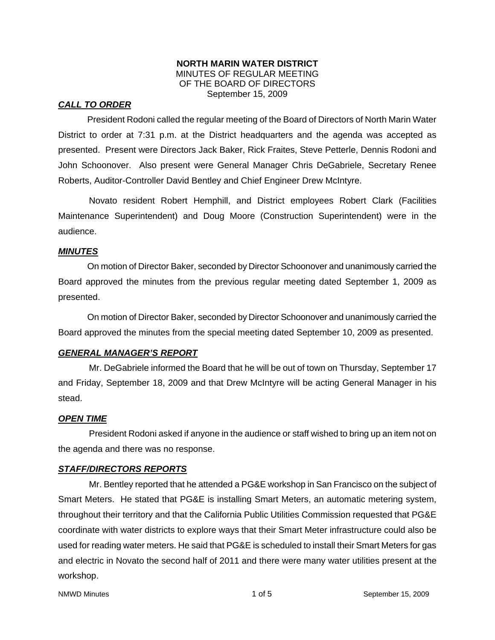#### **NORTH MARIN WATER DISTRICT**  MINUTES OF REGULAR MEETING OF THE BOARD OF DIRECTORS September 15, 2009

### *CALL TO ORDER*

President Rodoni called the regular meeting of the Board of Directors of North Marin Water District to order at 7:31 p.m. at the District headquarters and the agenda was accepted as presented. Present were Directors Jack Baker, Rick Fraites, Steve Petterle, Dennis Rodoni and John Schoonover. Also present were General Manager Chris DeGabriele, Secretary Renee Roberts, Auditor-Controller David Bentley and Chief Engineer Drew McIntyre.

Novato resident Robert Hemphill, and District employees Robert Clark (Facilities Maintenance Superintendent) and Doug Moore (Construction Superintendent) were in the audience.

### *MINUTES*

 On motion of Director Baker, seconded by Director Schoonover and unanimously carried the Board approved the minutes from the previous regular meeting dated September 1, 2009 as presented.

 On motion of Director Baker, seconded by Director Schoonover and unanimously carried the Board approved the minutes from the special meeting dated September 10, 2009 as presented.

### *GENERAL MANAGER'S REPORT*

Mr. DeGabriele informed the Board that he will be out of town on Thursday, September 17 and Friday, September 18, 2009 and that Drew McIntyre will be acting General Manager in his stead.

### *OPEN TIME*

President Rodoni asked if anyone in the audience or staff wished to bring up an item not on the agenda and there was no response.

### *STAFF/DIRECTORS REPORTS*

Mr. Bentley reported that he attended a PG&E workshop in San Francisco on the subject of Smart Meters. He stated that PG&E is installing Smart Meters, an automatic metering system, throughout their territory and that the California Public Utilities Commission requested that PG&E coordinate with water districts to explore ways that their Smart Meter infrastructure could also be used for reading water meters. He said that PG&E is scheduled to install their Smart Meters for gas and electric in Novato the second half of 2011 and there were many water utilities present at the workshop.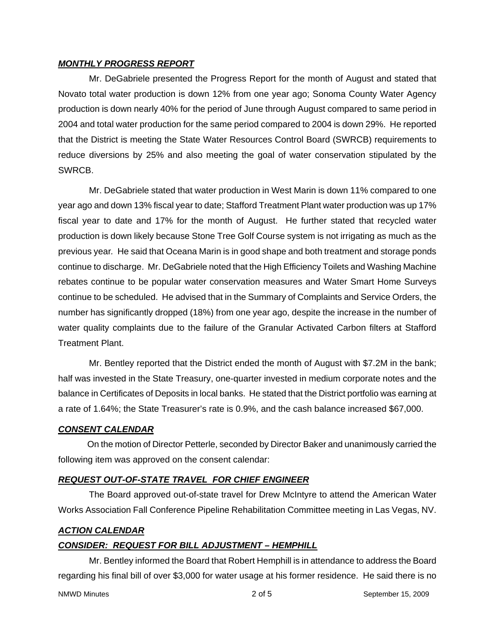#### *MONTHLY PROGRESS REPORT*

Mr. DeGabriele presented the Progress Report for the month of August and stated that Novato total water production is down 12% from one year ago; Sonoma County Water Agency production is down nearly 40% for the period of June through August compared to same period in 2004 and total water production for the same period compared to 2004 is down 29%. He reported that the District is meeting the State Water Resources Control Board (SWRCB) requirements to reduce diversions by 25% and also meeting the goal of water conservation stipulated by the SWRCB.

Mr. DeGabriele stated that water production in West Marin is down 11% compared to one year ago and down 13% fiscal year to date; Stafford Treatment Plant water production was up 17% fiscal year to date and 17% for the month of August. He further stated that recycled water production is down likely because Stone Tree Golf Course system is not irrigating as much as the previous year*.* He said that Oceana Marin is in good shape and both treatment and storage ponds continue to discharge. Mr. DeGabriele noted that the High Efficiency Toilets and Washing Machine rebates continue to be popular water conservation measures and Water Smart Home Surveys continue to be scheduled. He advised that in the Summary of Complaints and Service Orders, the number has significantly dropped (18%) from one year ago, despite the increase in the number of water quality complaints due to the failure of the Granular Activated Carbon filters at Stafford Treatment Plant.

Mr. Bentley reported that the District ended the month of August with \$7.2M in the bank; half was invested in the State Treasury, one-quarter invested in medium corporate notes and the balance in Certificates of Deposits in local banks. He stated that the District portfolio was earning at a rate of 1.64%; the State Treasurer's rate is 0.9%, and the cash balance increased \$67,000.

### *CONSENT CALENDAR*

 On the motion of Director Petterle, seconded by Director Baker and unanimously carried the following item was approved on the consent calendar:

### *REQUEST OUT-OF-STATE TRAVEL FOR CHIEF ENGINEER*

The Board approved out-of-state travel for Drew McIntyre to attend the American Water Works Association Fall Conference Pipeline Rehabilitation Committee meeting in Las Vegas, NV.

#### *ACTION CALENDAR*

### *CONSIDER: REQUEST FOR BILL ADJUSTMENT – HEMPHILL*

Mr. Bentley informed the Board that Robert Hemphill is in attendance to address the Board regarding his final bill of over \$3,000 for water usage at his former residence. He said there is no

NMWD Minutes **2 of 5** September 15, 2009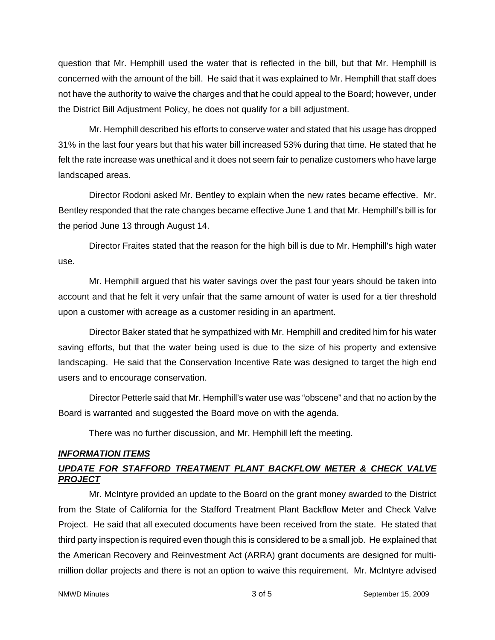question that Mr. Hemphill used the water that is reflected in the bill, but that Mr. Hemphill is concerned with the amount of the bill. He said that it was explained to Mr. Hemphill that staff does not have the authority to waive the charges and that he could appeal to the Board; however, under the District Bill Adjustment Policy, he does not qualify for a bill adjustment.

Mr. Hemphill described his efforts to conserve water and stated that his usage has dropped 31% in the last four years but that his water bill increased 53% during that time. He stated that he felt the rate increase was unethical and it does not seem fair to penalize customers who have large landscaped areas.

Director Rodoni asked Mr. Bentley to explain when the new rates became effective. Mr. Bentley responded that the rate changes became effective June 1 and that Mr. Hemphill's bill is for the period June 13 through August 14.

Director Fraites stated that the reason for the high bill is due to Mr. Hemphill's high water use.

Mr. Hemphill argued that his water savings over the past four years should be taken into account and that he felt it very unfair that the same amount of water is used for a tier threshold upon a customer with acreage as a customer residing in an apartment.

Director Baker stated that he sympathized with Mr. Hemphill and credited him for his water saving efforts, but that the water being used is due to the size of his property and extensive landscaping. He said that the Conservation Incentive Rate was designed to target the high end users and to encourage conservation.

Director Petterle said that Mr. Hemphill's water use was "obscene" and that no action by the Board is warranted and suggested the Board move on with the agenda.

There was no further discussion, and Mr. Hemphill left the meeting.

### *INFORMATION ITEMS*

# *UPDATE FOR STAFFORD TREATMENT PLANT BACKFLOW METER & CHECK VALVE PROJECT*

Mr. McIntyre provided an update to the Board on the grant money awarded to the District from the State of California for the Stafford Treatment Plant Backflow Meter and Check Valve Project. He said that all executed documents have been received from the state. He stated that third party inspection is required even though this is considered to be a small job. He explained that the American Recovery and Reinvestment Act (ARRA) grant documents are designed for multimillion dollar projects and there is not an option to waive this requirement. Mr. McIntyre advised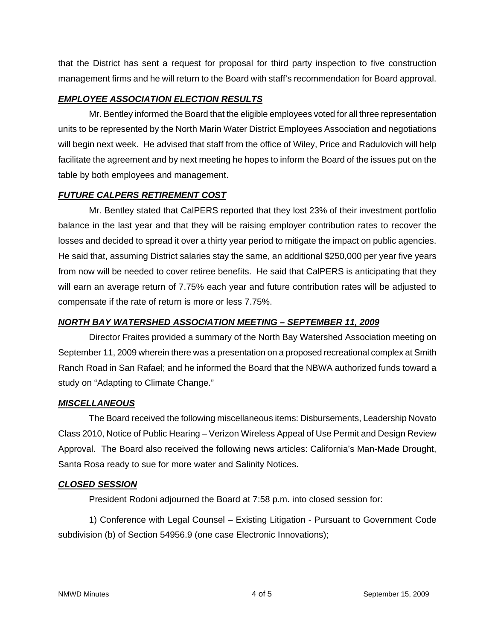that the District has sent a request for proposal for third party inspection to five construction management firms and he will return to the Board with staff's recommendation for Board approval.

### *EMPLOYEE ASSOCIATION ELECTION RESULTS*

Mr. Bentley informed the Board that the eligible employees voted for all three representation units to be represented by the North Marin Water District Employees Association and negotiations will begin next week. He advised that staff from the office of Wiley, Price and Radulovich will help facilitate the agreement and by next meeting he hopes to inform the Board of the issues put on the table by both employees and management.

## *FUTURE CALPERS RETIREMENT COST*

Mr. Bentley stated that CalPERS reported that they lost 23% of their investment portfolio balance in the last year and that they will be raising employer contribution rates to recover the losses and decided to spread it over a thirty year period to mitigate the impact on public agencies. He said that, assuming District salaries stay the same, an additional \$250,000 per year five years from now will be needed to cover retiree benefits. He said that CalPERS is anticipating that they will earn an average return of 7.75% each year and future contribution rates will be adjusted to compensate if the rate of return is more or less 7.75%.

### *NORTH BAY WATERSHED ASSOCIATION MEETING – SEPTEMBER 11, 2009*

Director Fraites provided a summary of the North Bay Watershed Association meeting on September 11, 2009 wherein there was a presentation on a proposed recreational complex at Smith Ranch Road in San Rafael; and he informed the Board that the NBWA authorized funds toward a study on "Adapting to Climate Change."

### *MISCELLANEOUS*

The Board received the following miscellaneous items: Disbursements, Leadership Novato Class 2010, Notice of Public Hearing – Verizon Wireless Appeal of Use Permit and Design Review Approval. The Board also received the following news articles: California's Man-Made Drought, Santa Rosa ready to sue for more water and Salinity Notices.

### *CLOSED SESSION*

President Rodoni adjourned the Board at 7:58 p.m. into closed session for:

1) Conference with Legal Counsel – Existing Litigation - Pursuant to Government Code subdivision (b) of Section 54956.9 (one case Electronic Innovations);